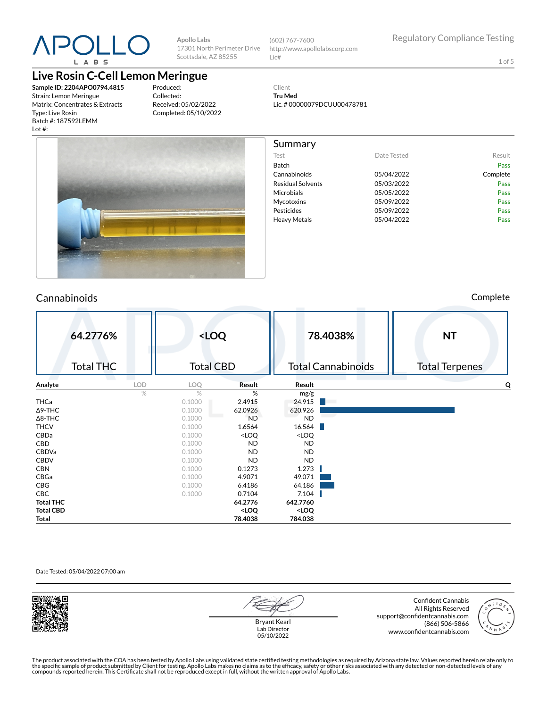

**Apollo Labs** 17301 North Perimeter Drive Scottsdale, AZ 85255

(602) 767-7600 http://www.apollolabscorp.com Lic#

Lic. # 00000079DCUU00478781

Test **Date Tested** Result Batch Pass Cannabinoids 05/04/2022 Complete Residual Solvents **05/03/2022** Pass Microbials **05/05/2022** Pass Mycotoxins 05/09/2022 Pass Pesticides **Pesticides Pass** Heavy Metals **DES** 05/04/2022 **Pass** 

Client **Tru Med**

Summary

1 of 5

### **Live Rosin C-Cell Lemon Meringue**

**Sample ID: 2204APO0794.4815** Strain: Lemon Meringue Matrix: Concentrates & Extracts Type: Live Rosin Batch #: 187592LEMM Lot #:

Produced: Collected: Received: 05/02/2022 Completed: 05/10/2022



#### Cannabinoids Complete

|                  | 64.2776%<br><b>Total THC</b> |            | <loq<br><b>Total CBD</b></loq<br> |                                                                   |                                       | 78.4038%<br><b>Total Cannabinoids</b> | <b>NT</b><br><b>Total Terpenes</b> |
|------------------|------------------------------|------------|-----------------------------------|-------------------------------------------------------------------|---------------------------------------|---------------------------------------|------------------------------------|
| Analyte          |                              | <b>LOD</b> | LOQ                               | Result                                                            | Result                                |                                       | O                                  |
|                  |                              | %          | $\frac{0}{2}$                     | %                                                                 | mg/g                                  |                                       |                                    |
| THCa             |                              |            | 0.1000                            | 2.4915                                                            | 24.915                                |                                       |                                    |
| $\Delta$ 9-THC   |                              |            | 0.1000                            | 62.0926                                                           | 620.926                               |                                       |                                    |
| $\Delta$ 8-THC   |                              |            | 0.1000                            | <b>ND</b>                                                         | <b>ND</b>                             |                                       |                                    |
| <b>THCV</b>      |                              |            | 0.1000                            | 1.6564                                                            | 16.564                                |                                       |                                    |
| CBDa             |                              |            | 0.1000                            | <loq< td=""><td><loq< td=""><td></td><td></td></loq<></td></loq<> | <loq< td=""><td></td><td></td></loq<> |                                       |                                    |
| CBD              |                              |            | 0.1000                            | ND.                                                               | <b>ND</b>                             |                                       |                                    |
| CBDVa            |                              |            | 0.1000                            | ND                                                                | <b>ND</b>                             |                                       |                                    |
| <b>CBDV</b>      |                              |            | 0.1000                            | <b>ND</b>                                                         | <b>ND</b>                             |                                       |                                    |
| <b>CBN</b>       |                              |            | 0.1000                            | 0.1273                                                            | 1.273                                 |                                       |                                    |
| CBGa             |                              |            | 0.1000                            | 4.9071                                                            | 49.071                                |                                       |                                    |
| CBG              |                              |            | 0.1000                            | 6.4186                                                            | 64.186                                |                                       |                                    |
| CBC              |                              |            | 0.1000                            | 0.7104                                                            | 7.104                                 |                                       |                                    |
| <b>Total THC</b> |                              |            |                                   | 64.2776                                                           | 642.7760                              |                                       |                                    |
| <b>Total CBD</b> |                              |            |                                   | <loq< td=""><td><loq< td=""><td></td><td></td></loq<></td></loq<> | <loq< td=""><td></td><td></td></loq<> |                                       |                                    |
| Total            |                              |            |                                   | 78.4038                                                           | 784.038                               |                                       |                                    |

#### Date Tested: 05/04/2022 07:00 am



Bryant Kearl Lab Director 05/10/2022

Confident Cannabis All Rights Reserved support@confidentcannabis.com (866) 506-5866 www.confidentcannabis.com

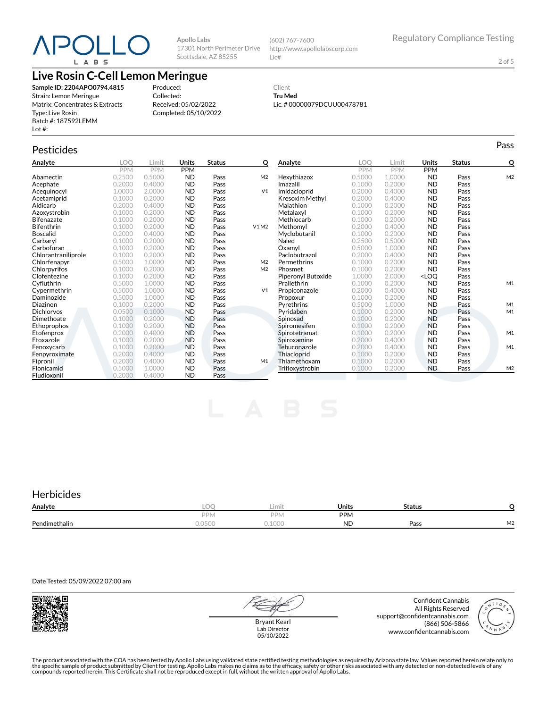# POLL( L A B S

**Apollo Labs** 17301 North Perimeter Drive Scottsdale, AZ 85255

(602) 767-7600 http://www.apollolabscorp.com Lic#

2 of 5

### **Live Rosin C-Cell Lemon Meringue**

**Sample ID: 2204APO0794.4815** Strain: Lemon Meringue Matrix: Concentrates & Extracts Type: Live Rosin Batch #: 187592LEMM Lot #:

Produced: Collected: Received: 05/02/2022 Completed: 05/10/2022

#### Client **Tru Med** Lic. # 00000079DCUU00478781

## Pesticides **Passage of the Contract of Contract Contract of Contract Contract Contract Contract Contract Contract Contract Contract Contract Contract Contract Contract Contract Contract Contract Contract Contract Contract**

| Analyte             | LOO        | Limit      | <b>Units</b> | <b>Status</b> | Q              | Analyte                | <b>LOO</b> | Limit      | Units                                     | <b>Status</b> | Q              |
|---------------------|------------|------------|--------------|---------------|----------------|------------------------|------------|------------|-------------------------------------------|---------------|----------------|
|                     | <b>PPM</b> | <b>PPM</b> | <b>PPM</b>   |               |                |                        | <b>PPM</b> | <b>PPM</b> | PPM                                       |               |                |
| Abamectin           | 0.2500     | 0.5000     | <b>ND</b>    | Pass          | M <sub>2</sub> | Hexythiazox            | 0.5000     | 1.0000     | <b>ND</b>                                 | Pass          | M <sub>2</sub> |
| Acephate            | 0.2000     | 0.4000     | <b>ND</b>    | Pass          |                | Imazalil               | 0.1000     | 0.2000     | <b>ND</b>                                 | Pass          |                |
| Acequinocyl         | 1.0000     | 2.0000     | <b>ND</b>    | Pass          | V <sub>1</sub> | Imidacloprid           | 0.2000     | 0.4000     | <b>ND</b>                                 | Pass          |                |
| Acetamiprid         | 0.1000     | 0.2000     | <b>ND</b>    | Pass          |                | <b>Kresoxim Methyl</b> | 0.2000     | 0.4000     | <b>ND</b>                                 | Pass          |                |
| Aldicarb            | 0.2000     | 0.4000     | <b>ND</b>    | Pass          |                | Malathion              | 0.1000     | 0.2000     | <b>ND</b>                                 | Pass          |                |
| Azoxystrobin        | 0.1000     | 0.2000     | <b>ND</b>    | Pass          |                | Metalaxyl              | 0.1000     | 0.2000     | <b>ND</b>                                 | Pass          |                |
| <b>Bifenazate</b>   | 0.1000     | 0.2000     | <b>ND</b>    | Pass          |                | Methiocarb             | 0.1000     | 0.2000     | <b>ND</b>                                 | Pass          |                |
| <b>Bifenthrin</b>   | 0.1000     | 0.2000     | <b>ND</b>    | Pass          | V1M2           | Methomvl               | 0.2000     | 0.4000     | <b>ND</b>                                 | Pass          |                |
| <b>Boscalid</b>     | 0.2000     | 0.4000     | <b>ND</b>    | Pass          |                | Myclobutanil           | 0.1000     | 0.2000     | <b>ND</b>                                 | Pass          |                |
| Carbarvl            | 0.1000     | 0.2000     | <b>ND</b>    | Pass          |                | Naled                  | 0.2500     | 0.5000     | <b>ND</b>                                 | Pass          |                |
| Carbofuran          | 0.1000     | 0.2000     | <b>ND</b>    | Pass          |                | Oxamyl                 | 0.5000     | 1.0000     | <b>ND</b>                                 | Pass          |                |
| Chlorantraniliprole | 0.1000     | 0.2000     | <b>ND</b>    | Pass          |                | Paclobutrazol          | 0.2000     | 0.4000     | <b>ND</b>                                 | Pass          |                |
| Chlorfenapyr        | 0.5000     | 1.0000     | <b>ND</b>    | Pass          | M <sub>2</sub> | Permethrins            | 0.1000     | 0.2000     | <b>ND</b>                                 | Pass          |                |
| Chlorpyrifos        | 0.1000     | 0.2000     | <b>ND</b>    | Pass          | M <sub>2</sub> | Phosmet                | 0.1000     | 0.2000     | <b>ND</b>                                 | Pass          |                |
| Clofentezine        | 0.1000     | 0.2000     | <b>ND</b>    | Pass          |                | Piperonyl Butoxide     | 1.0000     | 2.0000     | <loq< th=""><th>Pass</th><th></th></loq<> | Pass          |                |
| Cyfluthrin          | 0.5000     | 1.0000     | <b>ND</b>    | Pass          |                | Prallethrin            | 0.1000     | 0.2000     | <b>ND</b>                                 | Pass          | M1             |
| Cypermethrin        | 0.5000     | 1.0000     | <b>ND</b>    | Pass          | V <sub>1</sub> | Propiconazole          | 0.2000     | 0.4000     | <b>ND</b>                                 | Pass          |                |
| Daminozide          | 0.5000     | 1.0000     | <b>ND</b>    | Pass          |                | Propoxur               | 0.1000     | 0.2000     | <b>ND</b>                                 | Pass          |                |
| Diazinon            | 0.1000     | 0.2000     | <b>ND</b>    | Pass          |                | Pyrethrins             | 0.5000     | 1.0000     | <b>ND</b>                                 | Pass          | M1             |
| <b>Dichlorvos</b>   | 0.0500     | 0.1000     | <b>ND</b>    | Pass          |                | Pyridaben              | 0.1000     | 0.2000     | <b>ND</b>                                 | Pass          | M1             |
| Dimethoate          | 0.1000     | 0.2000     | <b>ND</b>    | Pass          |                | Spinosad               | 0.1000     | 0.2000     | <b>ND</b>                                 | Pass          |                |
| Ethoprophos         | 0.1000     | 0.2000     | <b>ND</b>    | Pass          |                | Spiromesifen           | 0.1000     | 0.2000     | <b>ND</b>                                 | Pass          |                |
| Etofenprox          | 0.2000     | 0.4000     | <b>ND</b>    | Pass          |                | Spirotetramat          | 0.1000     | 0.2000     | <b>ND</b>                                 | Pass          | M1             |
| Etoxazole           | 0.1000     | 0.2000     | <b>ND</b>    | Pass          |                | Spiroxamine            | 0.2000     | 0.4000     | <b>ND</b>                                 | Pass          |                |
| Fenoxycarb          | 0.1000     | 0.2000     | <b>ND</b>    | Pass          |                | Tebuconazole           | 0.2000     | 0.4000     | <b>ND</b>                                 | Pass          | M1             |
| Fenpyroximate       | 0.2000     | 0.4000     | <b>ND</b>    | Pass          |                | Thiacloprid            | 0.1000     | 0.2000     | <b>ND</b>                                 | Pass          |                |
| Fipronil            | 0.2000     | 0.4000     | <b>ND</b>    | Pass          | M1             | Thiamethoxam           | 0.1000     | 0.2000     | <b>ND</b>                                 | Pass          |                |
| Flonicamid          | 0.5000     | 1.0000     | <b>ND</b>    | Pass          |                | Trifloxystrobin        | 0.1000     | 0.2000     | <b>ND</b>                                 | Pass          | M <sub>2</sub> |
| Fludioxonil         | 0.2000     | 0.4000     | <b>ND</b>    | Pass          |                |                        |            |            |                                           |               |                |

### **Herbicides**

| Analyte       | $\sim$<br>-LUT | Limit            | Units      | <b>Status</b> |    |
|---------------|----------------|------------------|------------|---------------|----|
|               | DDN.           | <b>DDI</b><br>Πν | <b>PPM</b> |               |    |
| Pendimethalin | 050<br>UUU.U   | 000<br>u. luuu   | <b>ND</b>  | Pass          | M2 |

Date Tested: 05/09/2022 07:00 am



Bryant Kearl Lab Director 05/10/2022

Confident Cannabis All Rights Reserved support@confidentcannabis.com (866) 506-5866 www.confidentcannabis.com

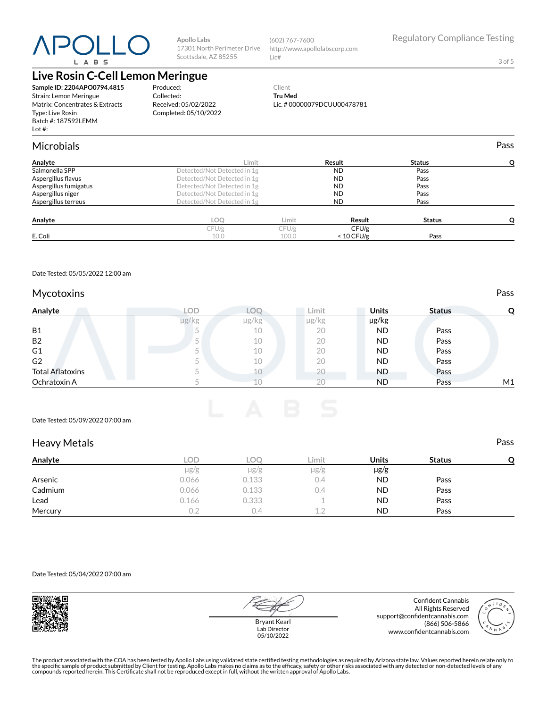# POLL L A B S

**Apollo Labs** 17301 North Perimeter Drive Scottsdale, AZ 85255

(602) 767-7600 http://www.apollolabscorp.com Lic#

3 of 5

## **Live Rosin C-Cell Lemon Meringue**

**Sample ID: 2204APO0794.4815** Strain: Lemon Meringue Matrix: Concentrates & Extracts Type: Live Rosin Batch #: 187592LEMM Lot #:

Produced: Collected: Received: 05/02/2022 Completed: 05/10/2022

#### Client **Tru Med** Lic. # 00000079DCUU00478781

| <b>Microbials</b>     |                             |       |              |               | Pass |
|-----------------------|-----------------------------|-------|--------------|---------------|------|
| Analyte               | Limit                       |       | Result       | <b>Status</b> |      |
| Salmonella SPP        | Detected/Not Detected in 1g |       | <b>ND</b>    | Pass          |      |
| Aspergillus flavus    | Detected/Not Detected in 1g |       | <b>ND</b>    | Pass          |      |
| Aspergillus fumigatus | Detected/Not Detected in 1g |       | <b>ND</b>    | Pass          |      |
| Aspergillus niger     | Detected/Not Detected in 1g |       | <b>ND</b>    | Pass          |      |
| Aspergillus terreus   | Detected/Not Detected in 1g |       | <b>ND</b>    | Pass          |      |
| Analyte               | LOO                         | Limit | Result       | <b>Status</b> |      |
|                       | CFU/g                       | CFU/g | CFU/g        |               |      |
| E. Coli               | 10.0                        | 100.0 | $< 10$ CFU/g | Pass          |      |

Date Tested: 05/05/2022 12:00 am

#### Mycotoxins **Pass**

| Analyte                 | <b>LOD</b> |       | ∟imit | <b>Units</b> | <b>Status</b> |    |
|-------------------------|------------|-------|-------|--------------|---------------|----|
|                         | µg/kg      | µg/kg | µg/kg | µg/kg        |               |    |
| <b>B1</b>               |            | 10    | 20    | <b>ND</b>    | Pass          |    |
| <b>B2</b>               |            | 10    | 20    | <b>ND</b>    | Pass          |    |
| G <sub>1</sub>          |            | 10    | 20    | <b>ND</b>    | Pass          |    |
| G <sub>2</sub>          |            | 10    | 20    | <b>ND</b>    | Pass          |    |
| <b>Total Aflatoxins</b> |            | 10    | 20    | <b>ND</b>    | Pass          |    |
| Ochratoxin A            |            |       | 20    | <b>ND</b>    | Pass          | M1 |

Date Tested: 05/09/2022 07:00 am

#### Heavy Metals **Pass**

| Analyte | LOD       | LOQ       | Limit     | <b>Units</b> | <b>Status</b> |  |
|---------|-----------|-----------|-----------|--------------|---------------|--|
|         | $\mu$ g/g | $\mu$ g/g | $\mu$ g/g | $\mu$ g/g    |               |  |
| Arsenic | 0.066     | 0.133     | 0.4       | <b>ND</b>    | Pass          |  |
| Cadmium | 0.066     | 0.133     | 0.4       | <b>ND</b>    | Pass          |  |
| Lead    | 0.166     | 0.333     |           | <b>ND</b>    | Pass          |  |
| Mercury | 0.2       | 0.4       | 12        | <b>ND</b>    | Pass          |  |

Date Tested: 05/04/2022 07:00 am



Bryant Kearl Lab Director 05/10/2022

Confident Cannabis All Rights Reserved support@confidentcannabis.com (866) 506-5866 www.confidentcannabis.com

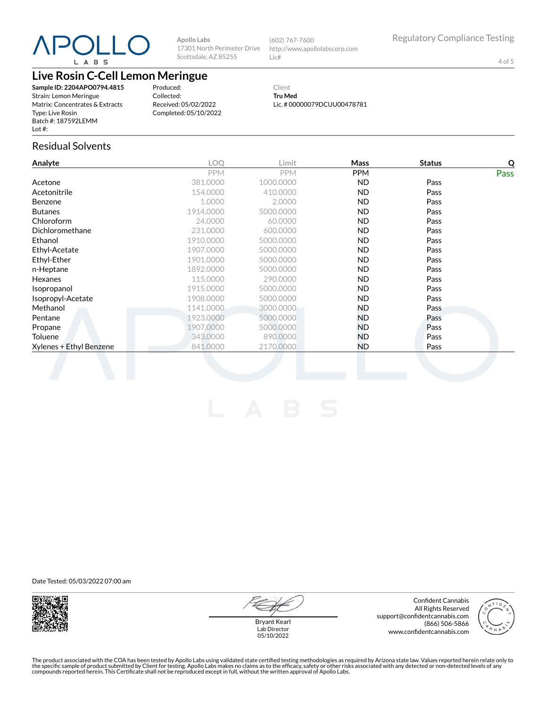# POLL L A B S

**Apollo Labs** 17301 North Perimeter Drive Scottsdale, AZ 85255

(602) 767-7600 http://www.apollolabscorp.com Lic#

4 of 5

## **Live Rosin C-Cell Lemon Meringue**

**Sample ID: 2204APO0794.4815** Strain: Lemon Meringue Matrix: Concentrates & Extracts Type: Live Rosin Batch #: 187592LEMM Lot #:

Produced: Collected: Received: 05/02/2022 Completed: 05/10/2022

Client **Tru Med** Lic. # 00000079DCUU00478781

### Residual Solvents

| Analyte                 | LOQ        | Limit      | Mass       | <b>Status</b> | Q           |
|-------------------------|------------|------------|------------|---------------|-------------|
|                         | <b>PPM</b> | <b>PPM</b> | <b>PPM</b> |               | <b>Pass</b> |
| Acetone                 | 381.0000   | 1000.0000  | ND.        | Pass          |             |
| Acetonitrile            | 154.0000   | 410.0000   | ND.        | Pass          |             |
| Benzene                 | 1.0000     | 2.0000     | ND.        | Pass          |             |
| <b>Butanes</b>          | 1914.0000  | 5000.0000  | ND.        | Pass          |             |
| Chloroform              | 24.0000    | 60.0000    | ND.        | Pass          |             |
| Dichloromethane         | 231.0000   | 600.0000   | ND.        | Pass          |             |
| Ethanol                 | 1910.0000  | 5000.0000  | ND.        | Pass          |             |
| Ethyl-Acetate           | 1907.0000  | 5000.0000  | ND.        | Pass          |             |
| Ethyl-Ether             | 1901.0000  | 5000.0000  | ND.        | Pass          |             |
| n-Heptane               | 1892.0000  | 5000.0000  | <b>ND</b>  | Pass          |             |
| <b>Hexanes</b>          | 115.0000   | 290,0000   | ND.        | Pass          |             |
| Isopropanol             | 1915.0000  | 5000.0000  | ND.        | Pass          |             |
| Isopropyl-Acetate       | 1908.0000  | 5000.0000  | ND.        | Pass          |             |
| Methanol                | 1141.0000  | 3000.0000  | ND.        | Pass          |             |
| Pentane                 | 1923.0000  | 5000.0000  | ND.        | Pass          |             |
| Propane                 | 1907,0000  | 5000.0000  | ND.        | Pass          |             |
| Toluene                 | 343,0000   | 890,0000   | ND.        | Pass          |             |
| Xylenes + Ethyl Benzene | 841.0000   | 2170.0000  | ND.        | Pass          |             |
|                         |            |            |            |               |             |

Date Tested: 05/03/2022 07:00 am



Confident Cannabis All Rights Reserved support@confidentcannabis.com (866) 506-5866 www.confidentcannabis.com



Bryant Kearl Lab Director 05/10/2022